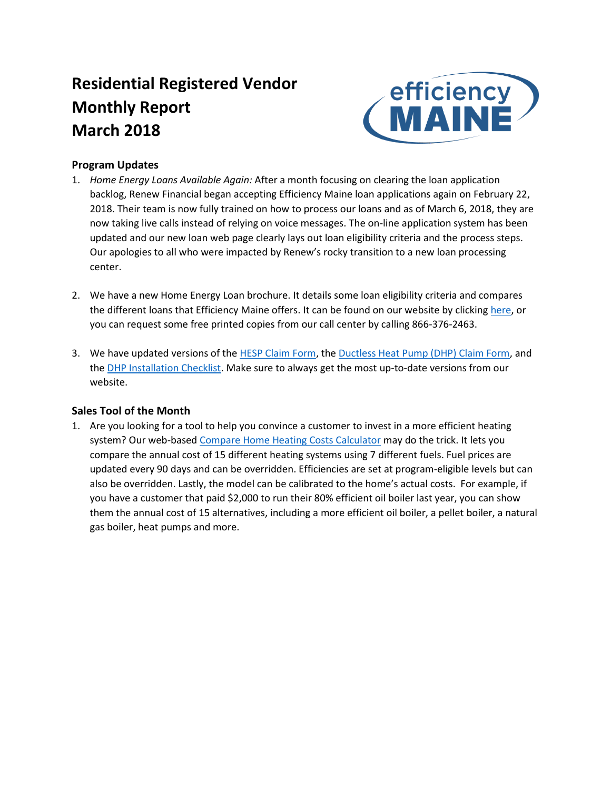# **Residential Registered Vendor Monthly Report March 2018**



## **Program Updates**

- 1. *Home Energy Loans Available Again:* After a month focusing on clearing the loan application backlog, Renew Financial began accepting Efficiency Maine loan applications again on February 22, 2018. Their team is now fully trained on how to process our loans and as of March 6, 2018, they are now taking live calls instead of relying on voice messages. The on-line application system has been updated and our new loa[n web page](https://www.efficiencymaine.com/at-home/energy-loans/) clearly lays out loan eligibility criteria and the process steps. Our apologies to all who were impacted by Renew's rocky transition to a new loan processing center.
- 2. We have a new Home Energy Loan brochure. It details some loan eligibility criteria and compares the different loans that Efficiency Maine offers. It can be found on our website by clickin[g here,](https://www.efficiencymaine.com/docs/EM-Home-Energy-Loans-Brochure.pdf) or you can request some free printed copies from our call center by calling 866-376-2463.
- 3. We have updated versions of the [HESP Claim Form,](https://www.efficiencymaine.com/docs/HESP-Completion-Form-Universal.pdf) the [Ductless Heat Pump \(DHP\) Claim Form,](https://www.efficiencymaine.com/docs/Ductless-Heat-Pump-Rebate-Claim.pdf) and th[e DHP Installation Checklist.](https://www.efficiencymaine.com/docs/Ductless-Heat-Pump-Installation-Checklist.pdf) Make sure to always get the most up-to-date versions from our website.

#### **Sales Tool of the Month**

1. Are you looking for a tool to help you convince a customer to invest in a more efficient heating system? Our web-based [Compare Home Heating Costs Calculator](https://www.efficiencymaine.com/at-home/home-energy-savings-program/heating-cost-comparison/) may do the trick. It lets you compare the annual cost of 15 different heating systems using 7 different fuels. Fuel prices are updated every 90 days and can be overridden. Efficiencies are set at program-eligible levels but can also be overridden. Lastly, the model can be calibrated to the home's actual costs. For example, if you have a customer that paid \$2,000 to run their 80% efficient oil boiler last year, you can show them the annual cost of 15 alternatives, including a more efficient oil boiler, a pellet boiler, a natural gas boiler, heat pumps and more.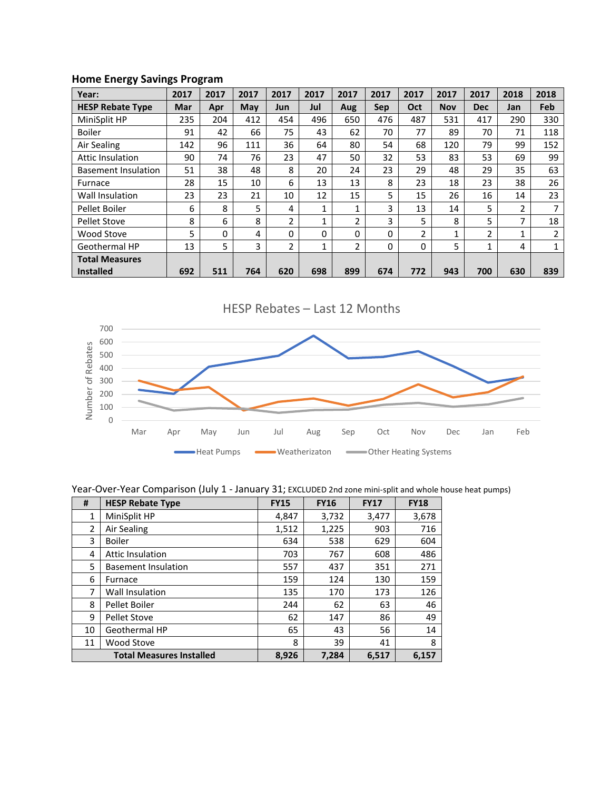| Year:                      | 2017 | 2017 | 2017 | 2017     | 2017         | 2017 | 2017       | 2017 | 2017       | 2017       | 2018         | 2018                     |
|----------------------------|------|------|------|----------|--------------|------|------------|------|------------|------------|--------------|--------------------------|
| <b>HESP Rebate Type</b>    | Mar  | Apr  | May  | Jun      | Jul          | Aug  | <b>Sep</b> | Oct  | <b>Nov</b> | <b>Dec</b> | Jan          | Feb                      |
| MiniSplit HP               | 235  | 204  | 412  | 454      | 496          | 650  | 476        | 487  | 531        | 417        | 290          | 330                      |
| <b>Boiler</b>              | 91   | 42   | 66   | 75       | 43           | 62   | 70         | 77   | 89         | 70         | 71           | 118                      |
| Air Sealing                | 142  | 96   | 111  | 36       | 64           | 80   | 54         | 68   | 120        | 79         | 99           | 152                      |
| <b>Attic Insulation</b>    | 90   | 74   | 76   | 23       | 47           | 50   | 32         | 53   | 83         | 53         | 69           | 99                       |
| <b>Basement Insulation</b> | 51   | 38   | 48   | 8        | 20           | 24   | 23         | 29   | 48         | 29         | 35           | 63                       |
| Furnace                    | 28   | 15   | 10   | 6        | 13           | 13   | 8          | 23   | 18         | 23         | 38           | 26                       |
| Wall Insulation            | 23   | 23   | 21   | 10       | 12           | 15   | 5          | 15   | 26         | 16         | 14           | 23                       |
| Pellet Boiler              | 6    | 8    | 5    | 4        | $\mathbf{1}$ | 1    | 3          | 13   | 14         | 5          | 2            | $\overline{\phantom{a}}$ |
| <b>Pellet Stove</b>        | 8    | 6    | 8    | 2        | $\mathbf{1}$ | 2    | 3          | 5    | 8          | 5          | 7            | 18                       |
| Wood Stove                 | 5    | 0    | 4    | $\Omega$ | $\Omega$     | 0    | 0          | 2    | 1          | 2          | $\mathbf{1}$ | $\overline{2}$           |
| Geothermal HP              | 13   | 5    | 3    | 2        | 1            | 2    | 0          | 0    | 5          | 1          | 4            |                          |
| <b>Total Measures</b>      |      |      |      |          |              |      |            |      |            |            |              |                          |
| <b>Installed</b>           | 692  | 511  | 764  | 620      | 698          | 899  | 674        | 772  | 943        | 700        | 630          | 839                      |

## **Home Energy Savings Program**



#### Year-Over-Year Comparison (July 1 - January 31; EXCLUDED 2nd zone mini-split and whole house heat pumps)

| #  | <b>HESP Rebate Type</b>         | <b>FY15</b> | <b>FY16</b> | <b>FY17</b> | <b>FY18</b> |
|----|---------------------------------|-------------|-------------|-------------|-------------|
| 1  | MiniSplit HP                    | 4,847       | 3,732       | 3,477       | 3,678       |
| 2  | Air Sealing                     | 1,512       | 1,225       | 903         | 716         |
| 3  | <b>Boiler</b>                   | 634         | 538         | 629         | 604         |
| 4  | <b>Attic Insulation</b>         | 703         | 767         | 608         | 486         |
| 5  | <b>Basement Insulation</b>      | 557         | 437         | 351         | 271         |
| 6  | Furnace                         | 159         | 124         | 130         | 159         |
| 7  | Wall Insulation                 | 135         | 170         | 173         | 126         |
| 8  | Pellet Boiler                   | 244         | 62          | 63          | 46          |
| 9  | <b>Pellet Stove</b>             | 62          | 147         | 86          | 49          |
| 10 | Geothermal HP                   | 65          | 43          | 56          | 14          |
| 11 | Wood Stove                      | 8           | 39          | 41          | 8           |
|    | <b>Total Measures Installed</b> | 8,926       | 7,284       | 6,517       | 6,157       |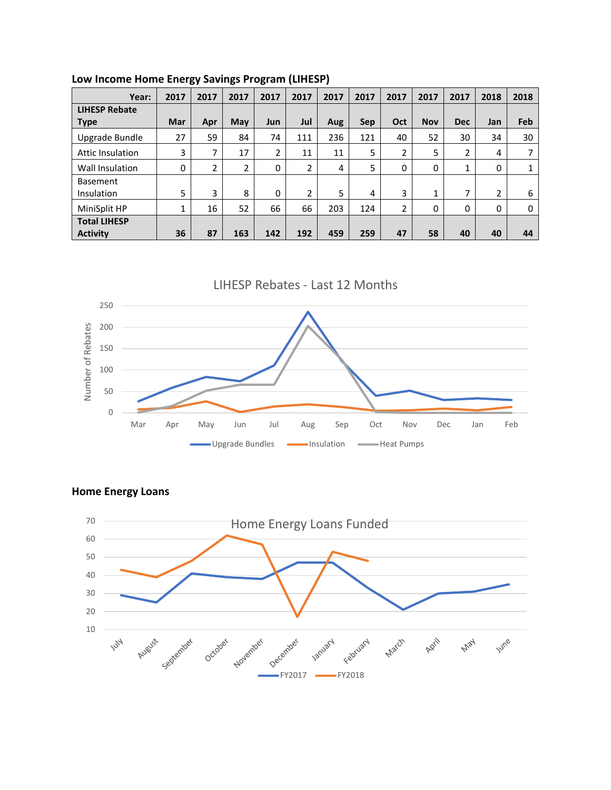| Year:                | 2017 | 2017           | 2017 | 2017       | 2017 | 2017 | 2017 | 2017           | 2017       | 2017       | 2018     | 2018 |
|----------------------|------|----------------|------|------------|------|------|------|----------------|------------|------------|----------|------|
| <b>LIHESP Rebate</b> |      |                |      |            |      |      |      |                |            |            |          |      |
| <b>Type</b>          | Mar  | Apr            | May  | <b>Jun</b> | Jul  | Aug  | Sep  | Oct            | <b>Nov</b> | <b>Dec</b> | Jan      | Feb  |
| Upgrade Bundle       | 27   | 59             | 84   | 74         | 111  | 236  | 121  | 40             | 52         | 30         | 34       | 30   |
| Attic Insulation     | 3    | 7              | 17   | 2          | 11   | 11   | 5    | $\overline{2}$ | 5          | 2          | 4        |      |
| Wall Insulation      | 0    | $\overline{2}$ | 2    | 0          | 2    | 4    | 5    | 0              | 0          | 1          | 0        | 1    |
| <b>Basement</b>      |      |                |      |            |      |      |      |                |            |            |          |      |
| Insulation           | 5    | 3              | 8    | 0          | 2    | 5    | 4    | 3              | 1          | 7          | 2        | 6    |
| MiniSplit HP         | 1    | 16             | 52   | 66         | 66   | 203  | 124  | $\overline{2}$ | 0          | $\Omega$   | $\Omega$ | 0    |
| <b>Total LIHESP</b>  |      |                |      |            |      |      |      |                |            |            |          |      |
| <b>Activity</b>      | 36   | 87             | 163  | 142        | 192  | 459  | 259  | 47             | 58         | 40         | 40       | 44   |

**Low Income Home Energy Savings Program (LIHESP)**





**Home Energy Loans**